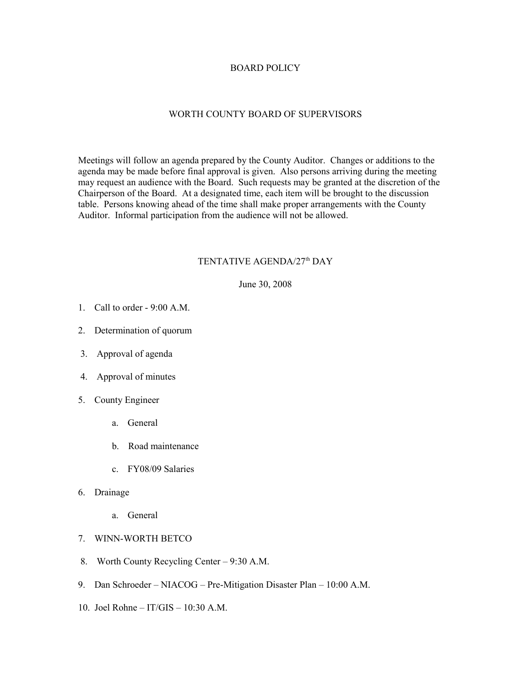## BOARD POLICY

## WORTH COUNTY BOARD OF SUPERVISORS

Meetings will follow an agenda prepared by the County Auditor. Changes or additions to the agenda may be made before final approval is given. Also persons arriving during the meeting may request an audience with the Board. Such requests may be granted at the discretion of the Chairperson of the Board. At a designated time, each item will be brought to the discussion table. Persons knowing ahead of the time shall make proper arrangements with the County Auditor. Informal participation from the audience will not be allowed.

## TENTATIVE AGENDA/27<sup>th</sup> DAY

June 30, 2008

- 1. Call to order 9:00 A.M.
- 2. Determination of quorum
- 3. Approval of agenda
- 4. Approval of minutes
- 5. County Engineer
	- a. General
	- b. Road maintenance
	- c. FY08/09 Salaries
- 6. Drainage
	- a. General
- 7. WINN-WORTH BETCO
- 8. Worth County Recycling Center 9:30 A.M.
- 9. Dan Schroeder NIACOG Pre-Mitigation Disaster Plan 10:00 A.M.
- 10. Joel Rohne IT/GIS 10:30 A.M.